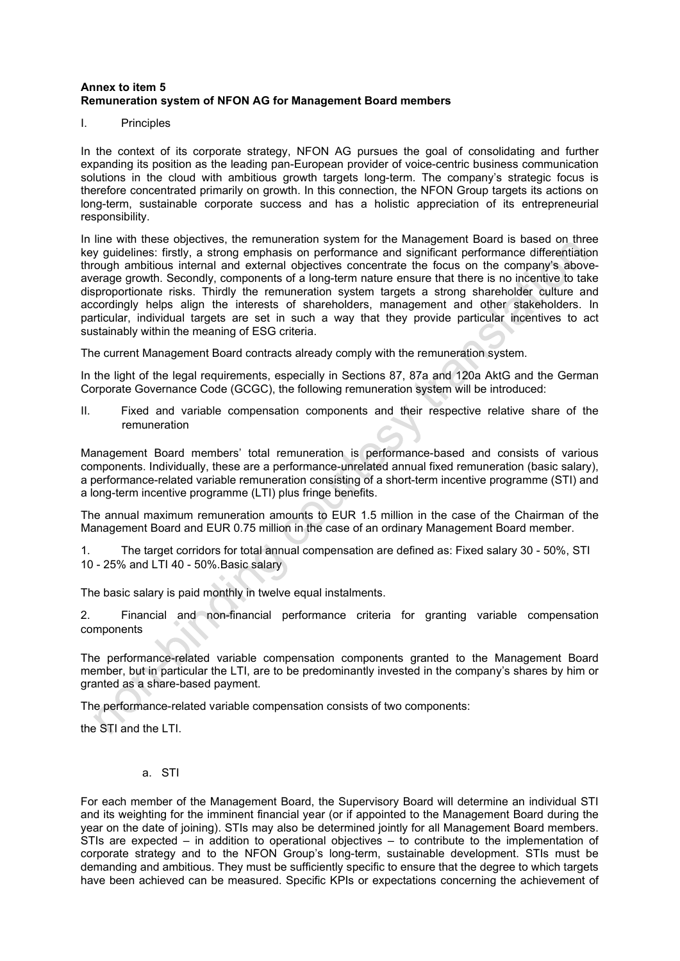## **Annex to item 5 Remuneration system of NFON AG for Management Board members**

I. Principles

In the context of its corporate strategy, NFON AG pursues the goal of consolidating and further expanding its position as the leading pan-European provider of voice-centric business communication solutions in the cloud with ambitious growth targets long-term. The company's strategic focus is therefore concentrated primarily on growth. In this connection, the NFON Group targets its actions on long-term, sustainable corporate success and has a holistic appreciation of its entrepreneurial responsibility.

In line with these objectives, the remuneration system for the Management Board is based on three key guidelines: firstly, a strong emphasis on performance and significant performance differentiation through ambitious internal and external objectives concentrate the focus on the company's aboveaverage growth. Secondly, components of a long-term nature ensure that there is no incentive to take disproportionate risks. Thirdly the remuneration system targets a strong shareholder culture and accordingly helps align the interests of shareholders, management and other stakeholders. In particular, individual targets are set in such a way that they provide particular incentives to act sustainably within the meaning of ESG criteria.

The current Management Board contracts already comply with the remuneration system.

In the light of the legal requirements, especially in Sections 87, 87a and 120a AktG and the German Corporate Governance Code (GCGC), the following remuneration system will be introduced:

II. Fixed and variable compensation components and their respective relative share of the remuneration

Management Board members' total remuneration is performance-based and consists of various components. Individually, these are a performance-unrelated annual fixed remuneration (basic salary), a performance-related variable remuneration consisting of a short-term incentive programme (STI) and a long-term incentive programme (LTI) plus fringe benefits.

The annual maximum remuneration amounts to EUR 1.5 million in the case of the Chairman of the Management Board and EUR 0.75 million in the case of an ordinary Management Board member.

1. The target corridors for total annual compensation are defined as: Fixed salary 30 - 50%, STI 10 - 25% and LTI 40 - 50%.Basic salary

The basic salary is paid monthly in twelve equal instalments.

2. Financial and non-financial performance criteria for granting variable compensation components

The performance-related variable compensation components granted to the Management Board member, but in particular the LTI, are to be predominantly invested in the company's shares by him or granted as a share-based payment.

The performance-related variable compensation consists of two components:

the STI and the LTI.

a. STI

For each member of the Management Board, the Supervisory Board will determine an individual STI and its weighting for the imminent financial year (or if appointed to the Management Board during the year on the date of joining). STIs may also be determined jointly for all Management Board members. STIs are expected – in addition to operational objectives – to contribute to the implementation of corporate strategy and to the NFON Group's long-term, sustainable development. STIs must be demanding and ambitious. They must be sufficiently specific to ensure that the degree to which targets have been achieved can be measured. Specific KPIs or expectations concerning the achievement of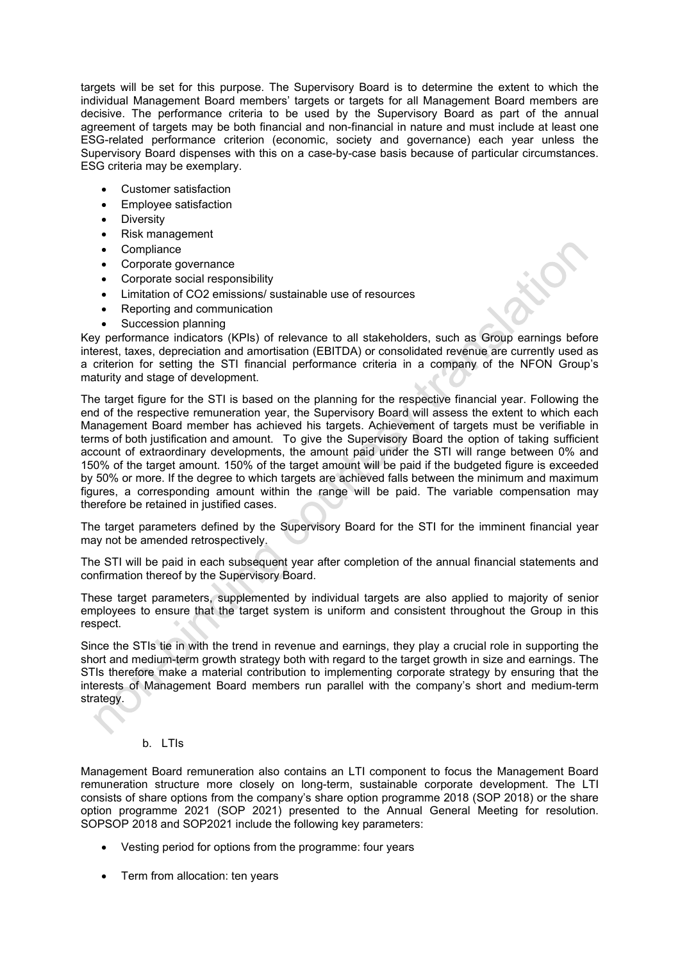targets will be set for this purpose. The Supervisory Board is to determine the extent to which the individual Management Board members' targets or targets for all Management Board members are decisive. The performance criteria to be used by the Supervisory Board as part of the annual agreement of targets may be both financial and non-financial in nature and must include at least one ESG-related performance criterion (economic, society and governance) each year unless the Supervisory Board dispenses with this on a case-by-case basis because of particular circumstances. ESG criteria may be exemplary.

- Customer satisfaction
- Employee satisfaction
- Diversity
- Risk management
- **Compliance**
- Corporate governance
- Corporate social responsibility
- Limitation of CO2 emissions/ sustainable use of resources
- Reporting and communication
- Succession planning

Key performance indicators (KPIs) of relevance to all stakeholders, such as Group earnings before interest, taxes, depreciation and amortisation (EBITDA) or consolidated revenue are currently used as a criterion for setting the STI financial performance criteria in a company of the NFON Group's maturity and stage of development.

The target figure for the STI is based on the planning for the respective financial year. Following the end of the respective remuneration year, the Supervisory Board will assess the extent to which each Management Board member has achieved his targets. Achievement of targets must be verifiable in terms of both justification and amount. To give the Supervisory Board the option of taking sufficient account of extraordinary developments, the amount paid under the STI will range between 0% and 150% of the target amount. 150% of the target amount will be paid if the budgeted figure is exceeded by 50% or more. If the degree to which targets are achieved falls between the minimum and maximum figures, a corresponding amount within the range will be paid. The variable compensation may therefore be retained in justified cases.

The target parameters defined by the Supervisory Board for the STI for the imminent financial year may not be amended retrospectively.

The STI will be paid in each subsequent year after completion of the annual financial statements and confirmation thereof by the Supervisory Board.

These target parameters, supplemented by individual targets are also applied to majority of senior employees to ensure that the target system is uniform and consistent throughout the Group in this respect.

Since the STIs tie in with the trend in revenue and earnings, they play a crucial role in supporting the short and medium-term growth strategy both with regard to the target growth in size and earnings. The STIs therefore make a material contribution to implementing corporate strategy by ensuring that the interests of Management Board members run parallel with the company's short and medium-term strategy.

## b. LTIs

Management Board remuneration also contains an LTI component to focus the Management Board remuneration structure more closely on long-term, sustainable corporate development. The LTI consists of share options from the company's share option programme 2018 (SOP 2018) or the share option programme 2021 (SOP 2021) presented to the Annual General Meeting for resolution. SOPSOP 2018 and SOP2021 include the following key parameters:

- Vesting period for options from the programme: four years
- Term from allocation: ten years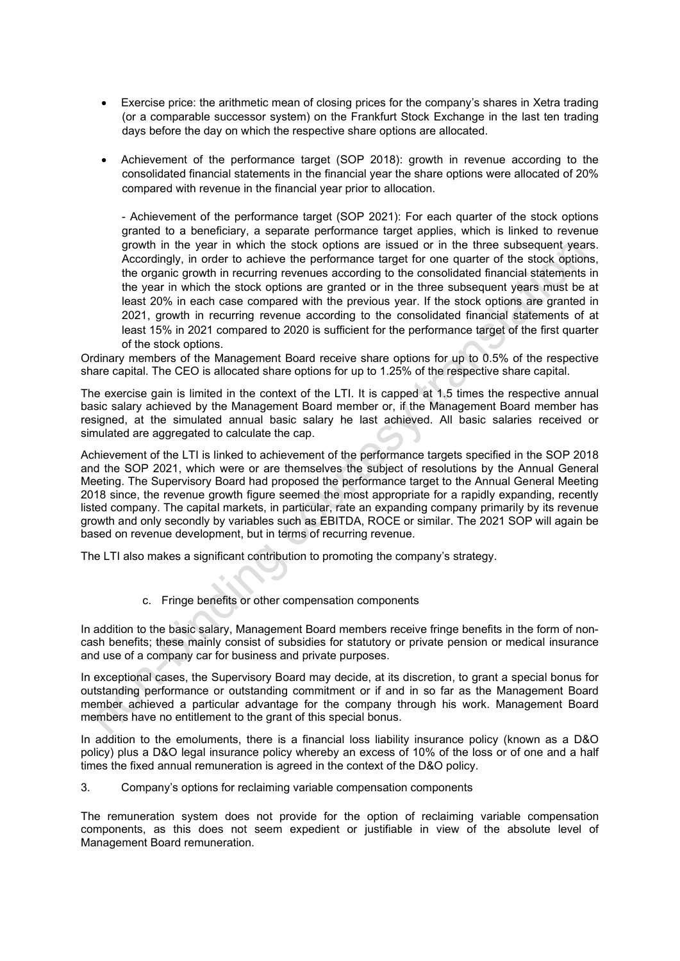- Exercise price: the arithmetic mean of closing prices for the company's shares in Xetra trading (or a comparable successor system) on the Frankfurt Stock Exchange in the last ten trading days before the day on which the respective share options are allocated.
- Achievement of the performance target (SOP 2018): growth in revenue according to the consolidated financial statements in the financial year the share options were allocated of 20% compared with revenue in the financial year prior to allocation.

- Achievement of the performance target (SOP 2021): For each quarter of the stock options granted to a beneficiary, a separate performance target applies, which is linked to revenue growth in the year in which the stock options are issued or in the three subsequent years. Accordingly, in order to achieve the performance target for one quarter of the stock options, the organic growth in recurring revenues according to the consolidated financial statements in the year in which the stock options are granted or in the three subsequent years must be at least 20% in each case compared with the previous year. If the stock options are granted in 2021, growth in recurring revenue according to the consolidated financial statements of at least 15% in 2021 compared to 2020 is sufficient for the performance target of the first quarter of the stock options.

Ordinary members of the Management Board receive share options for up to 0.5% of the respective share capital. The CEO is allocated share options for up to 1.25% of the respective share capital.

The exercise gain is limited in the context of the LTI. It is capped at 1.5 times the respective annual basic salary achieved by the Management Board member or, if the Management Board member has resigned, at the simulated annual basic salary he last achieved. All basic salaries received or simulated are aggregated to calculate the cap.

Achievement of the LTI is linked to achievement of the performance targets specified in the SOP 2018 and the SOP 2021, which were or are themselves the subject of resolutions by the Annual General Meeting. The Supervisory Board had proposed the performance target to the Annual General Meeting 2018 since, the revenue growth figure seemed the most appropriate for a rapidly expanding, recently listed company. The capital markets, in particular, rate an expanding company primarily by its revenue growth and only secondly by variables such as EBITDA, ROCE or similar. The 2021 SOP will again be based on revenue development, but in terms of recurring revenue.

The LTI also makes a significant contribution to promoting the company's strategy.

c. Fringe benefits or other compensation components

In addition to the basic salary, Management Board members receive fringe benefits in the form of noncash benefits; these mainly consist of subsidies for statutory or private pension or medical insurance and use of a company car for business and private purposes.

In exceptional cases, the Supervisory Board may decide, at its discretion, to grant a special bonus for outstanding performance or outstanding commitment or if and in so far as the Management Board member achieved a particular advantage for the company through his work. Management Board members have no entitlement to the grant of this special bonus.

In addition to the emoluments, there is a financial loss liability insurance policy (known as a D&O policy) plus a D&O legal insurance policy whereby an excess of 10% of the loss or of one and a half times the fixed annual remuneration is agreed in the context of the D&O policy.

3. Company's options for reclaiming variable compensation components

The remuneration system does not provide for the option of reclaiming variable compensation components, as this does not seem expedient or justifiable in view of the absolute level of Management Board remuneration.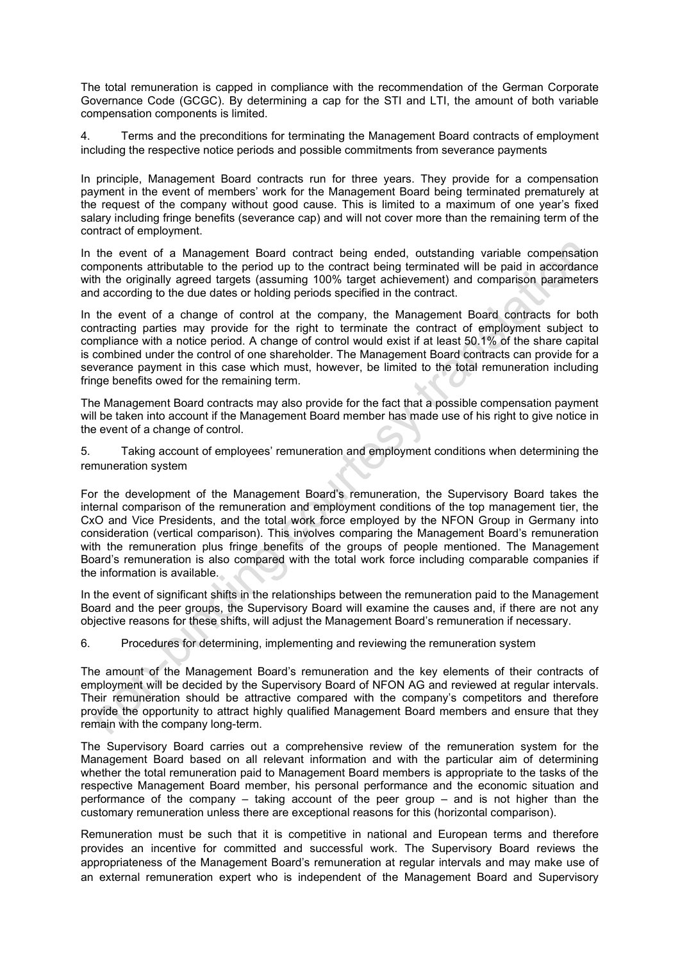The total remuneration is capped in compliance with the recommendation of the German Corporate Governance Code (GCGC). By determining a cap for the STI and LTI, the amount of both variable compensation components is limited.

4. Terms and the preconditions for terminating the Management Board contracts of employment including the respective notice periods and possible commitments from severance payments

In principle, Management Board contracts run for three years. They provide for a compensation payment in the event of members' work for the Management Board being terminated prematurely at the request of the company without good cause. This is limited to a maximum of one year's fixed salary including fringe benefits (severance cap) and will not cover more than the remaining term of the contract of employment.

In the event of a Management Board contract being ended, outstanding variable compensation components attributable to the period up to the contract being terminated will be paid in accordance with the originally agreed targets (assuming 100% target achievement) and comparison parameters and according to the due dates or holding periods specified in the contract.

In the event of a change of control at the company, the Management Board contracts for both contracting parties may provide for the right to terminate the contract of employment subject to compliance with a notice period. A change of control would exist if at least 50.1% of the share capital is combined under the control of one shareholder. The Management Board contracts can provide for a severance payment in this case which must, however, be limited to the total remuneration including fringe benefits owed for the remaining term.

The Management Board contracts may also provide for the fact that a possible compensation payment will be taken into account if the Management Board member has made use of his right to give notice in the event of a change of control.

5. Taking account of employees' remuneration and employment conditions when determining the remuneration system

For the development of the Management Board's remuneration, the Supervisory Board takes the internal comparison of the remuneration and employment conditions of the top management tier, the CxO and Vice Presidents, and the total work force employed by the NFON Group in Germany into consideration (vertical comparison). This involves comparing the Management Board's remuneration with the remuneration plus fringe benefits of the groups of people mentioned. The Management Board's remuneration is also compared with the total work force including comparable companies if the information is available.

In the event of significant shifts in the relationships between the remuneration paid to the Management Board and the peer groups, the Supervisory Board will examine the causes and, if there are not any objective reasons for these shifts, will adjust the Management Board's remuneration if necessary.

6. Procedures for determining, implementing and reviewing the remuneration system

The amount of the Management Board's remuneration and the key elements of their contracts of employment will be decided by the Supervisory Board of NFON AG and reviewed at regular intervals. Their remuneration should be attractive compared with the company's competitors and therefore provide the opportunity to attract highly qualified Management Board members and ensure that they remain with the company long-term.

The Supervisory Board carries out a comprehensive review of the remuneration system for the Management Board based on all relevant information and with the particular aim of determining whether the total remuneration paid to Management Board members is appropriate to the tasks of the respective Management Board member, his personal performance and the economic situation and performance of the company – taking account of the peer group – and is not higher than the customary remuneration unless there are exceptional reasons for this (horizontal comparison).

Remuneration must be such that it is competitive in national and European terms and therefore provides an incentive for committed and successful work. The Supervisory Board reviews the appropriateness of the Management Board's remuneration at regular intervals and may make use of an external remuneration expert who is independent of the Management Board and Supervisory